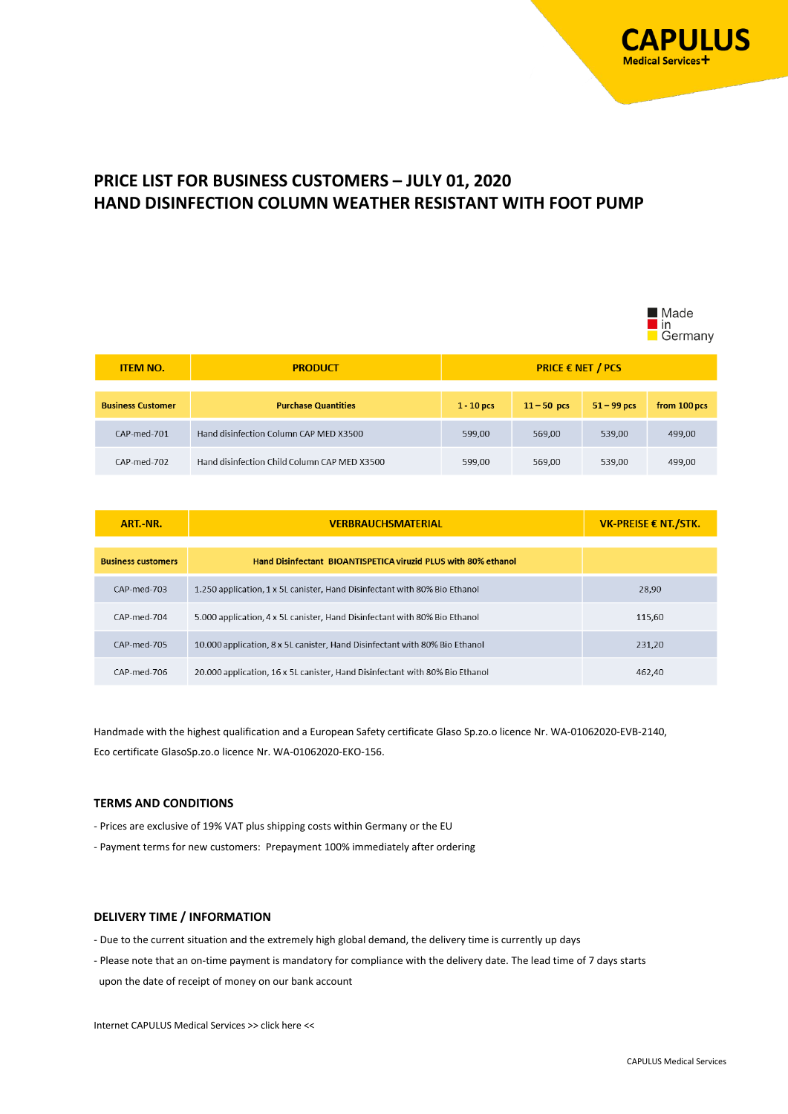

 $\blacksquare$ Modo

# **PRICE LIST FOR BUSINESS CUSTOMERS – JULY 01, 2020 HAND DISINFECTION COLUMN WEATHER RESISTANT WITH FOOT PUMP**

|                          |                                              |                          |               |               | <b>■</b> Maue<br>l in<br>Germany |
|--------------------------|----------------------------------------------|--------------------------|---------------|---------------|----------------------------------|
| <b>ITEM NO.</b>          | <b>PRODUCT</b>                               | <b>PRICE € NET / PCS</b> |               |               |                                  |
|                          |                                              |                          |               |               |                                  |
| <b>Business Customer</b> | <b>Purchase Quantities</b>                   | $1 - 10$ pcs             | $11 - 50$ pcs | $51 - 99$ pcs | from 100 pcs                     |
| CAP-med-701              | Hand disinfection Column CAP MED X3500       | 599,00                   | 569,00        | 539,00        | 499,00                           |
| CAP-med-702              | Hand disinfection Child Column CAP MED X3500 | 599,00                   | 569,00        | 539,00        | 499,00                           |

| ART.-NR.                  | <b>VERBRAUCHSMATERIAL</b>                                                    | <b>VK-PREISE € NT./STK.</b> |  |
|---------------------------|------------------------------------------------------------------------------|-----------------------------|--|
| <b>Business customers</b> | Hand Disinfectant BIOANTISPETICA viruzid PLUS with 80% ethanol               |                             |  |
| CAP-med-703               | 1.250 application, 1 x 5L canister, Hand Disinfectant with 80% Bio Ethanol   | 28.90                       |  |
| CAP-med-704               | 5.000 application, 4 x 5L canister, Hand Disinfectant with 80% Bio Ethanol   | 115,60                      |  |
| CAP-med-705               | 10.000 application, 8 x 5L canister, Hand Disinfectant with 80% Bio Ethanol  | 231,20                      |  |
| CAP-med-706               | 20.000 application, 16 x 5L canister, Hand Disinfectant with 80% Bio Ethanol | 462.40                      |  |

Handmade with the highest qualification and a European Safety certificate Glaso Sp.zo.o licence Nr. WA-01062020-EVB-2140, Eco certificate GlasoSp.zo.o licence Nr. WA-01062020-EKO-156.

#### **TERMS AND CONDITIONS**

- Prices are exclusive of 19% VAT plus shipping costs within Germany or the EU

- Payment terms for new customers: Prepayment 100% immediately after ordering

#### **DELIVERY TIME / INFORMATION**

- Due to the current situation and the extremely high global demand, the delivery time is currently up days
- Please note that an on-time payment is mandatory for compliance with the delivery date. The lead time of 7 days starts upon the date of receipt of money on our bank account

Internet CAPULUS Medical Service[s >> click here <<](https://www.capulus-services.de/en/respirators-health-masks-products/8123-2/)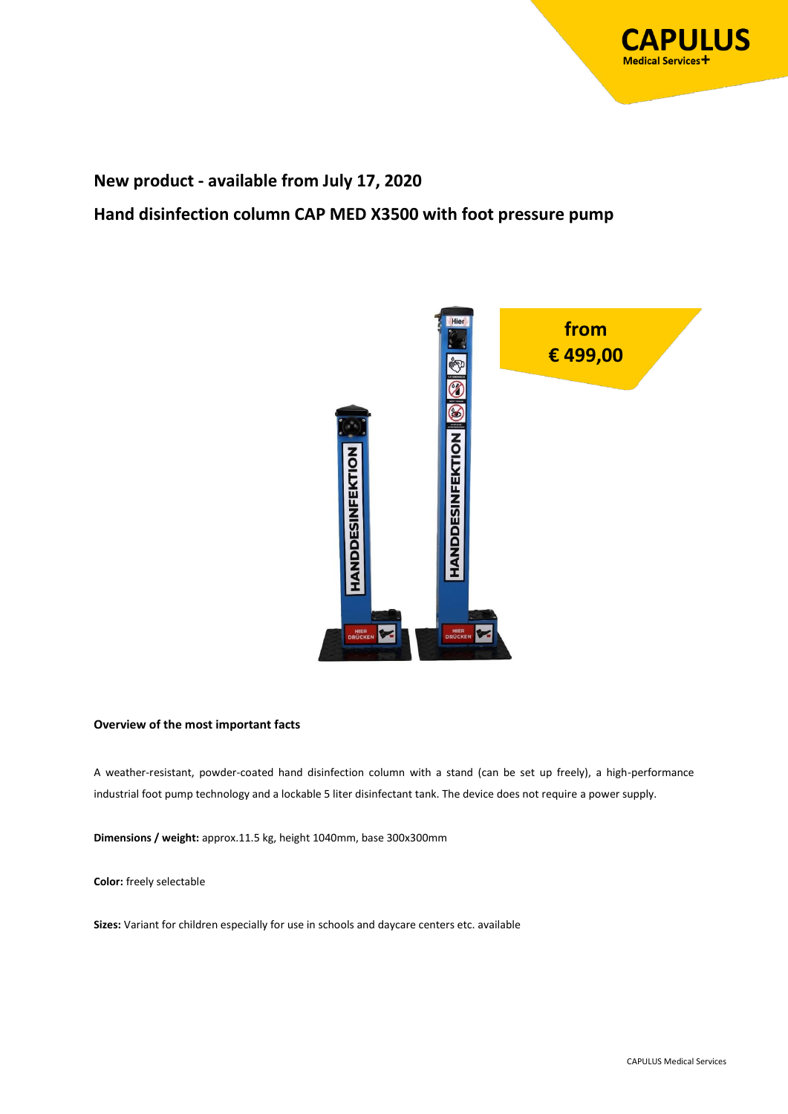

## **New product - available from July 17, 2020**

**Hand disinfection column CAP MED X3500 with foot pressure pump**



#### **Overview of the most important facts**

A weather-resistant, powder-coated hand disinfection column with a stand (can be set up freely), a high-performance industrial foot pump technology and a lockable 5 liter disinfectant tank. The device does not require a power supply.

**Dimensions / weight:** approx.11.5 kg, height 1040mm, base 300x300mm

**Color:** freely selectable

**Sizes:** Variant for children especially for use in schools and daycare centers etc. available